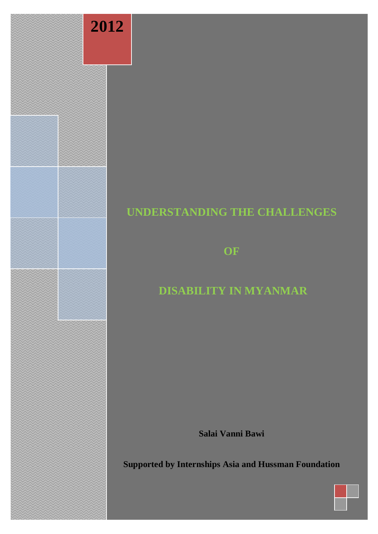

# **UNDERSTANDING THE CHALLENGES**

**OF**

# **DISABILITY IN MYANMAR**

**Salai Vanni Bawi**

**Supported by Internships Asia and Hussman Foundation**

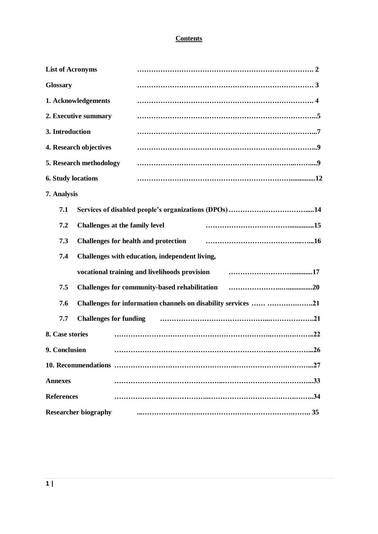# **Contents**

| <b>List of Acronyms</b>                               |                                                                |  |
|-------------------------------------------------------|----------------------------------------------------------------|--|
| <b>Glossary</b>                                       |                                                                |  |
| 1. Acknowledgements                                   |                                                                |  |
| 2. Executive summary                                  |                                                                |  |
| 3. Introduction                                       |                                                                |  |
| 4. Research objectives                                |                                                                |  |
| 5. Research methodology                               |                                                                |  |
| <b>6. Study locations</b>                             |                                                                |  |
| 7. Analysis                                           |                                                                |  |
| 7.1                                                   |                                                                |  |
| 7.2                                                   | Challenges at the family level                                 |  |
| 7.3                                                   | <b>Challenges for health and protection</b>                    |  |
| 7.4<br>Challenges with education, independent living, |                                                                |  |
|                                                       | vocational training and livelihoods provision                  |  |
| 7.5                                                   |                                                                |  |
| 7.6                                                   | Challenges for information channels on disability services  21 |  |
| <b>Challenges for funding</b><br>7.7                  |                                                                |  |
| 8. Case stories                                       |                                                                |  |
| 9. Conclusion                                         | .26                                                            |  |
|                                                       |                                                                |  |
| <b>Annexes</b>                                        |                                                                |  |
| <b>References</b>                                     |                                                                |  |
| <b>Researcher biography</b>                           |                                                                |  |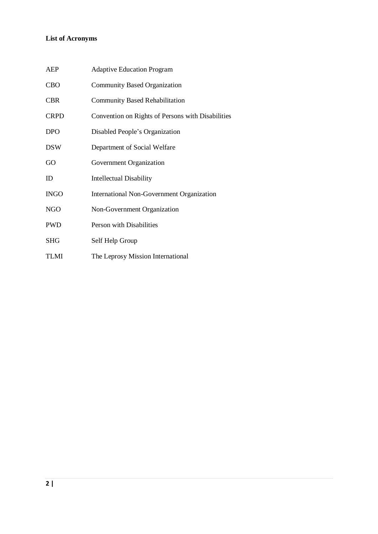# **List of Acronyms**

| <b>AEP</b>  | <b>Adaptive Education Program</b>                 |
|-------------|---------------------------------------------------|
| <b>CBO</b>  | <b>Community Based Organization</b>               |
| <b>CBR</b>  | <b>Community Based Rehabilitation</b>             |
| <b>CRPD</b> | Convention on Rights of Persons with Disabilities |
| <b>DPO</b>  | Disabled People's Organization                    |
| <b>DSW</b>  | Department of Social Welfare                      |
| GO          | Government Organization                           |
| <b>ID</b>   | <b>Intellectual Disability</b>                    |
| <b>INGO</b> | International Non-Government Organization         |
| <b>NGO</b>  | Non-Government Organization                       |
| <b>PWD</b>  | Person with Disabilities                          |
| <b>SHG</b>  | Self Help Group                                   |
| <b>TLMI</b> | The Leprosy Mission International                 |
|             |                                                   |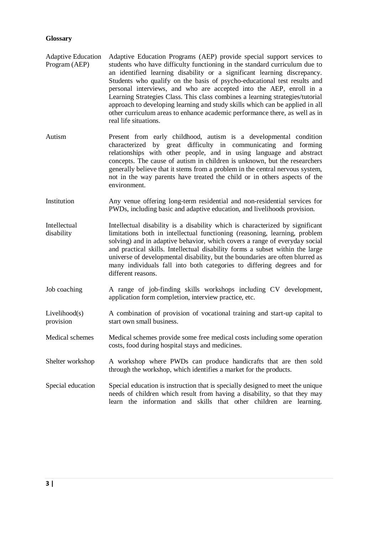## **Glossary**

- Adaptive Education Program (AEP) Adaptive Education Programs (AEP) provide special support services to students who have difficulty functioning in the standard curriculum due to an identified learning disability or a significant learning discrepancy. Students who qualify on the basis of psycho-educational test results and personal interviews, and who are accepted into the AEP, enroll in a Learning Strategies Class. This class combines a learning strategies/tutorial approach to developing learning and study skills which can be applied in all other curriculum areas to enhance academic performance there, as well as in real life situations.
- Autism Present from early childhood, autism is a developmental condition characterized by great difficulty in communicating and forming relationships with other people, and in using language and abstract concepts. The cause of autism in children is unknown, but the researchers generally believe that it stems from a problem in the central nervous system, not in the way parents have treated the child or in others aspects of the environment.
- Institution Any venue offering long-term residential and non-residential services for PWDs, including basic and adaptive education, and livelihoods provision.
- Intellectual disability Intellectual disability is a disability which is characterized by significant limitations both in intellectual functioning (reasoning, learning, problem solving) and in adaptive behavior, which covers a range of everyday social and practical skills. Intellectual disability forms a subset within the large universe of developmental disability, but the boundaries are often blurred as many individuals fall into both categories to differing degrees and for different reasons.
- Job coaching A range of job-finding skills workshops including CV development, application form completion, interview practice, etc.
- Livelihood(s) provision A combination of provision of vocational training and start-up capital to start own small business.
- Medical schemes Medical schemes provide some free medical costs including some operation costs, food during hospital stays and medicines.
- Shelter workshop A workshop where PWDs can produce handicrafts that are then sold through the workshop, which identifies a market for the products.
- Special education Special education is instruction that is specially designed to meet the unique needs of children which result from having a disability, so that they may learn the information and skills that other children are learning.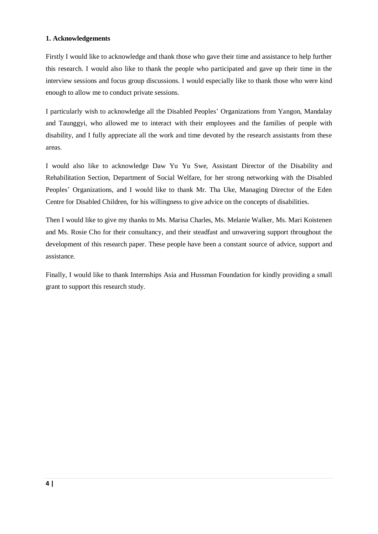# **1. Acknowledgements**

Firstly I would like to acknowledge and thank those who gave their time and assistance to help further this research. I would also like to thank the people who participated and gave up their time in the interview sessions and focus group discussions. I would especially like to thank those who were kind enough to allow me to conduct private sessions.

I particularly wish to acknowledge all the Disabled Peoples" Organizations from Yangon, Mandalay and Taunggyi, who allowed me to interact with their employees and the families of people with disability, and I fully appreciate all the work and time devoted by the research assistants from these areas.

I would also like to acknowledge Daw Yu Yu Swe, Assistant Director of the Disability and Rehabilitation Section, Department of Social Welfare, for her strong networking with the Disabled Peoples" Organizations, and I would like to thank Mr. Tha Uke, Managing Director of the Eden Centre for Disabled Children, for his willingness to give advice on the concepts of disabilities.

Then I would like to give my thanks to Ms. Marisa Charles, Ms. Melanie Walker, Ms. Mari Koistenen and Ms. Rosie Cho for their consultancy, and their steadfast and unwavering support throughout the development of this research paper. These people have been a constant source of advice, support and assistance.

Finally, I would like to thank Internships Asia and Hussman Foundation for kindly providing a small grant to support this research study.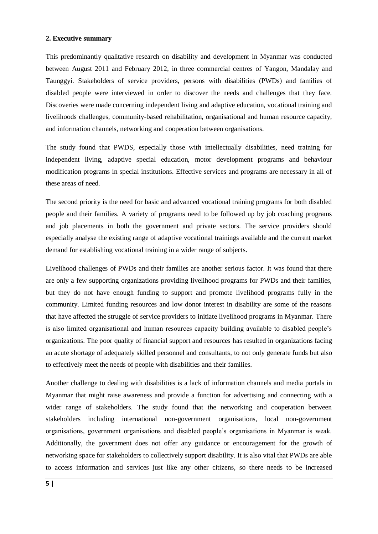### **2. Executive summary**

This predominantly qualitative research on disability and development in Myanmar was conducted between August 2011 and February 2012, in three commercial centres of Yangon, Mandalay and Taunggyi. Stakeholders of service providers, persons with disabilities (PWDs) and families of disabled people were interviewed in order to discover the needs and challenges that they face. Discoveries were made concerning independent living and adaptive education, vocational training and livelihoods challenges, community-based rehabilitation, organisational and human resource capacity, and information channels, networking and cooperation between organisations.

The study found that PWDS, especially those with intellectually disabilities, need training for independent living, adaptive special education, motor development programs and behaviour modification programs in special institutions. Effective services and programs are necessary in all of these areas of need.

The second priority is the need for basic and advanced vocational training programs for both disabled people and their families. A variety of programs need to be followed up by job coaching programs and job placements in both the government and private sectors. The service providers should especially analyse the existing range of adaptive vocational trainings available and the current market demand for establishing vocational training in a wider range of subjects.

Livelihood challenges of PWDs and their families are another serious factor. It was found that there are only a few supporting organizations providing livelihood programs for PWDs and their families, but they do not have enough funding to support and promote livelihood programs fully in the community. Limited funding resources and low donor interest in disability are some of the reasons that have affected the struggle of service providers to initiate livelihood programs in Myanmar. There is also limited organisational and human resources capacity building available to disabled people"s organizations. The poor quality of financial support and resources has resulted in organizations facing an acute shortage of adequately skilled personnel and consultants, to not only generate funds but also to effectively meet the needs of people with disabilities and their families.

Another challenge to dealing with disabilities is a lack of information channels and media portals in Myanmar that might raise awareness and provide a function for advertising and connecting with a wider range of stakeholders. The study found that the networking and cooperation between stakeholders including international non-government organisations, local non-government organisations, government organisations and disabled people"s organisations in Myanmar is weak. Additionally, the government does not offer any guidance or encouragement for the growth of networking space for stakeholders to collectively support disability. It is also vital that PWDs are able to access information and services just like any other citizens, so there needs to be increased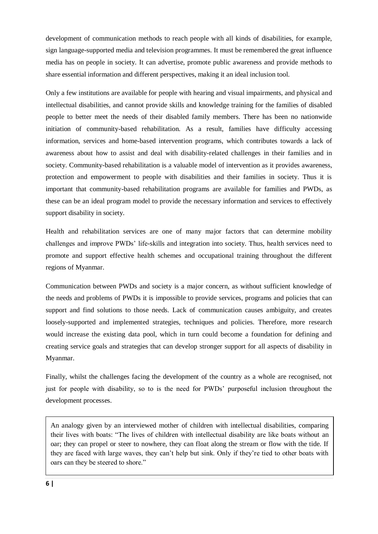development of communication methods to reach people with all kinds of disabilities, for example, sign language-supported media and television programmes. It must be remembered the great influence media has on people in society. It can advertise, promote public awareness and provide methods to share essential information and different perspectives, making it an ideal inclusion tool.

Only a few institutions are available for people with hearing and visual impairments, and physical and intellectual disabilities, and cannot provide skills and knowledge training for the families of disabled people to better meet the needs of their disabled family members. There has been no nationwide initiation of community-based rehabilitation. As a result, families have difficulty accessing information, services and home-based intervention programs, which contributes towards a lack of awareness about how to assist and deal with disability-related challenges in their families and in society. Community-based rehabilitation is a valuable model of intervention as it provides awareness, protection and empowerment to people with disabilities and their families in society. Thus it is important that community-based rehabilitation programs are available for families and PWDs, as these can be an ideal program model to provide the necessary information and services to effectively support disability in society.

Health and rehabilitation services are one of many major factors that can determine mobility challenges and improve PWDs" life-skills and integration into society. Thus, health services need to promote and support effective health schemes and occupational training throughout the different regions of Myanmar.

Communication between PWDs and society is a major concern, as without sufficient knowledge of the needs and problems of PWDs it is impossible to provide services, programs and policies that can support and find solutions to those needs. Lack of communication causes ambiguity, and creates loosely-supported and implemented strategies, techniques and policies. Therefore, more research would increase the existing data pool, which in turn could become a foundation for defining and creating service goals and strategies that can develop stronger support for all aspects of disability in Myanmar.

Finally, whilst the challenges facing the development of the country as a whole are recognised, not just for people with disability, so to is the need for PWDs" purposeful inclusion throughout the development processes.

An analogy given by an interviewed mother of children with intellectual disabilities, comparing their lives with boats: "The lives of children with intellectual disability are like boats without an oar; they can propel or steer to nowhere, they can float along the stream or flow with the tide. If they are faced with large waves, they can"t help but sink. Only if they"re tied to other boats with oars can they be steered to shore."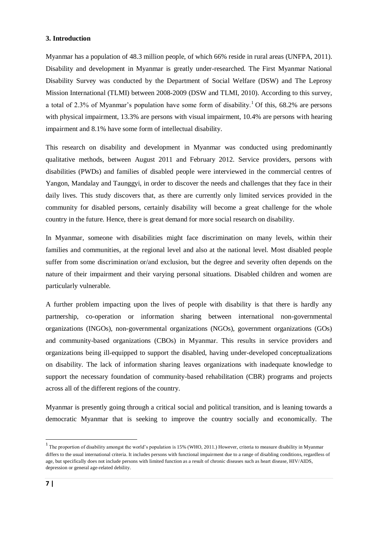## **3. Introduction**

Myanmar has a population of 48.3 million people, of which 66% reside in rural areas (UNFPA, 2011). Disability and development in Myanmar is greatly under-researched. The First Myanmar National Disability Survey was conducted by the Department of Social Welfare (DSW) and The Leprosy Mission International (TLMI) between 2008-2009 (DSW and TLMI, 2010). According to this survey, a total of 2.3% of Myanmar's population have some form of disability.<sup>1</sup> Of this, 68.2% are persons with physical impairment, 13.3% are persons with visual impairment, 10.4% are persons with hearing impairment and 8.1% have some form of intellectual disability.

This research on disability and development in Myanmar was conducted using predominantly qualitative methods, between August 2011 and February 2012. Service providers, persons with disabilities (PWDs) and families of disabled people were interviewed in the commercial centres of Yangon, Mandalay and Taunggyi, in order to discover the needs and challenges that they face in their daily lives. This study discovers that, as there are currently only limited services provided in the community for disabled persons, certainly disability will become a great challenge for the whole country in the future. Hence, there is great demand for more social research on disability.

In Myanmar, someone with disabilities might face discrimination on many levels, within their families and communities, at the regional level and also at the national level. Most disabled people suffer from some discrimination or/and exclusion, but the degree and severity often depends on the nature of their impairment and their varying personal situations. Disabled children and women are particularly vulnerable.

A further problem impacting upon the lives of people with disability is that there is hardly any partnership, co-operation or information sharing between international non-governmental organizations (INGOs), non-governmental organizations (NGOs), government organizations (GOs) and community-based organizations (CBOs) in Myanmar. This results in service providers and organizations being ill-equipped to support the disabled, having under-developed conceptualizations on disability. The lack of information sharing leaves organizations with inadequate knowledge to support the necessary foundation of community-based rehabilitation (CBR) programs and projects across all of the different regions of the country.

Myanmar is presently going through a critical social and political transition, and is leaning towards a democratic Myanmar that is seeking to improve the country socially and economically. The

1

 $1$  The proportion of disability amongst the world's population is 15% (WHO, 2011.) However, criteria to measure disability in Myanmar differs to the usual international criteria. It includes persons with functional impairment due to a range of disabling conditions, regardless of age, but specifically does not include persons with limited function as a result of chronic diseases such as heart disease, HIV/AIDS, depression or general age-related debility.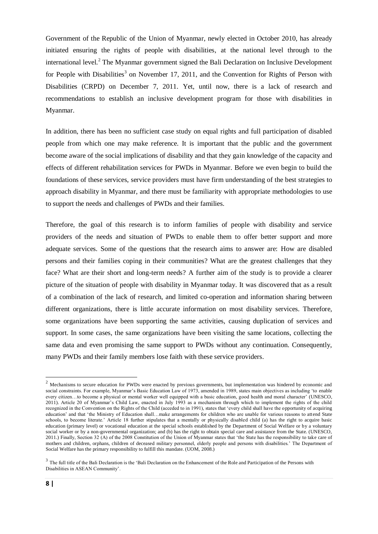Government of the Republic of the Union of Myanmar, newly elected in October 2010, has already initiated ensuring the rights of people with disabilities, at the national level through to the international level.<sup>2</sup> The Myanmar government signed the Bali Declaration on Inclusive Development for People with Disabilities<sup>3</sup> on November 17, 2011, and the Convention for Rights of Person with Disabilities (CRPD) on December 7, 2011. Yet, until now, there is a lack of research and recommendations to establish an inclusive development program for those with disabilities in Myanmar.

In addition, there has been no sufficient case study on equal rights and full participation of disabled people from which one may make reference. It is important that the public and the government become aware of the social implications of disability and that they gain knowledge of the capacity and effects of different rehabilitation services for PWDs in Myanmar. Before we even begin to build the foundations of these services, service providers must have firm understanding of the best strategies to approach disability in Myanmar, and there must be familiarity with appropriate methodologies to use to support the needs and challenges of PWDs and their families.

Therefore, the goal of this research is to inform families of people with disability and service providers of the needs and situation of PWDs to enable them to offer better support and more adequate services. Some of the questions that the research aims to answer are: How are disabled persons and their families coping in their communities? What are the greatest challenges that they face? What are their short and long-term needs? A further aim of the study is to provide a clearer picture of the situation of people with disability in Myanmar today. It was discovered that as a result of a combination of the lack of research, and limited co-operation and information sharing between different organizations, there is little accurate information on most disability services. Therefore, some organizations have been supporting the same activities, causing duplication of services and support. In some cases, the same organizations have been visiting the same locations, collecting the same data and even promising the same support to PWDs without any continuation. Consequently, many PWDs and their family members lose faith with these service providers.

**.** 

 $2$  Mechanisms to secure education for PWDs were enacted by previous governments, but implementation was hindered by economic and social constraints. For example, Myanmar"s Basic Education Law of 1973, amended in 1989, states main objectives as including "to enable every citizen…to become a physical or mental worker well equipped with a basic education, good health and moral character" (UNESCO, 2011). Article 20 of Myanmar"s Child Law, enacted in July 1993 as a mechanism through which to implement the rights of the child recognized in the Convention on the Rights of the Child (acceded to in 1991), states that "every child shall have the opportunity of acquiring education' and that 'the Ministry of Education shall...make arrangements for children who are unable for various reasons to attend State schools, to become literate." Article 18 further stipulates that a mentally or physically disabled child (a) has the right to acquire basic education (primary level) or vocational education at the special schools established by the Department of Social Welfare or by a voluntary social worker or by a non-governmental organization; and (b) has the right to obtain special care and assistance from the State. (UNESCO, 2011.) Finally, Section 32 (A) of the 2008 Constitution of the Union of Myanmar states that "the State has the responsibility to take care of mothers and children, orphans, children of deceased military personnel, elderly people and persons with disabilities.' The Department of Social Welfare has the primary responsibility to fulfill this mandate. (UOM, 2008.)

 $3$  The full title of the Bali Declaration is the 'Bali Declaration on the Enhancement of the Role and Participation of the Persons with Disabilities in ASEAN Community".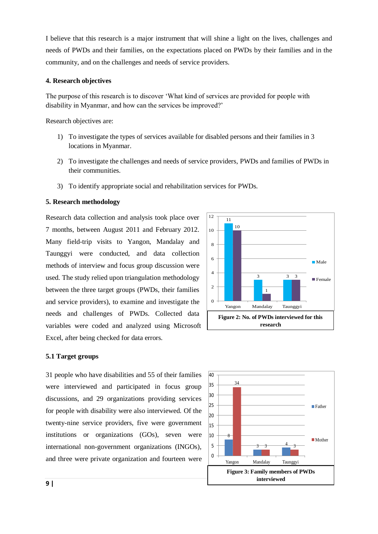I believe that this research is a major instrument that will shine a light on the lives, challenges and needs of PWDs and their families, on the expectations placed on PWDs by their families and in the community, and on the challenges and needs of service providers.

## **4. Research objectives**

The purpose of this research is to discover "What kind of services are provided for people with disability in Myanmar, and how can the services be improved?"

Research objectives are:

- 1) To investigate the types of services available for disabled persons and their families in 3 locations in Myanmar.
- 2) To investigate the challenges and needs of service providers, PWDs and families of PWDs in their communities.
- 3) To identify appropriate social and rehabilitation services for PWDs.

### **5. Research methodology**

Research data collection and analysis took place over 7 months, between August 2011 and February 2012. Many field-trip visits to Yangon, Mandalay and Taunggyi were conducted, and data collection methods of interview and focus group discussion were used. The study relied upon triangulation methodology between the three target groups (PWDs, their families and service providers), to examine and investigate the needs and challenges of PWDs. Collected data variables were coded and analyzed using Microsoft Excel, after being checked for data errors.



#### **5.1 Target groups**

31 people who have disabilities and 55 of their families were interviewed and participated in focus group discussions, and 29 organizations providing services for people with disability were also interviewed. Of the twenty-nine service providers, five were government institutions or organizations (GOs), seven were international non-government organizations (INGOs), and three were private organization and fourteen were

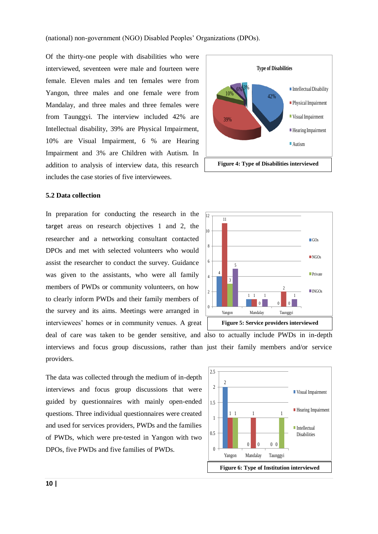(national) non-government (NGO) Disabled Peoples" Organizations (DPOs).

Of the thirty-one people with disabilities who were interviewed, seventeen were male and fourteen were female. Eleven males and ten females were from Yangon, three males and one female were from Mandalay, and three males and three females were from Taunggyi. The interview included 42% are Intellectual disability, 39% are Physical Impairment, 10% are Visual Impairment, 6 % are Hearing Impairment and 3% are Children with Autism. In addition to analysis of interview data, this research includes the case stories of five interviewees.



#### **5.2 Data collection**

In preparation for conducting the research in the target areas on research objectives 1 and 2, the researcher and a networking consultant contacted DPOs and met with selected volunteers who would assist the researcher to conduct the survey. Guidance was given to the assistants, who were all family members of PWDs or community volunteers, on how to clearly inform PWDs and their family members of the survey and its aims. Meetings were arranged in interviewees" homes or in community venues. A great deal of care was taken to be gender sensitive, and also to actually include PWDs in in-depth interviews and focus group discussions, rather than just their family members and/or service providers.





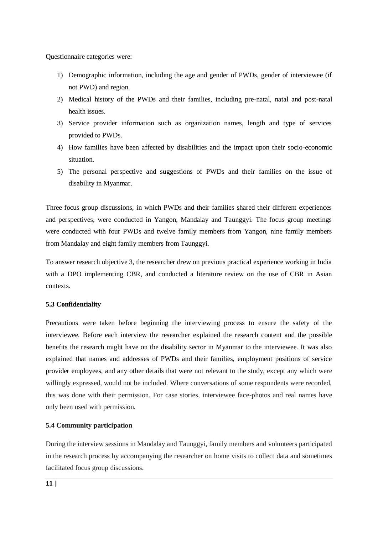Questionnaire categories were:

- 1) Demographic information, including the age and gender of PWDs, gender of interviewee (if not PWD) and region.
- 2) Medical history of the PWDs and their families, including pre-natal, natal and post-natal health issues.
- 3) Service provider information such as organization names, length and type of services provided to PWDs.
- 4) How families have been affected by disabilities and the impact upon their socio-economic situation.
- 5) The personal perspective and suggestions of PWDs and their families on the issue of disability in Myanmar.

Three focus group discussions, in which PWDs and their families shared their different experiences and perspectives, were conducted in Yangon, Mandalay and Taunggyi. The focus group meetings were conducted with four PWDs and twelve family members from Yangon, nine family members from Mandalay and eight family members from Taunggyi.

To answer research objective 3, the researcher drew on previous practical experience working in India with a DPO implementing CBR, and conducted a literature review on the use of CBR in Asian contexts.

## **5.3 Confidentiality**

Precautions were taken before beginning the interviewing process to ensure the safety of the interviewee. Before each interview the researcher explained the research content and the possible benefits the research might have on the disability sector in Myanmar to the interviewee. It was also explained that names and addresses of PWDs and their families, employment positions of service provider employees, and any other details that were not relevant to the study, except any which were willingly expressed, would not be included. Where conversations of some respondents were recorded, this was done with their permission. For case stories, interviewee face-photos and real names have only been used with permission.

### **5.4 Community participation**

During the interview sessions in Mandalay and Taunggyi, family members and volunteers participated in the research process by accompanying the researcher on home visits to collect data and sometimes facilitated focus group discussions.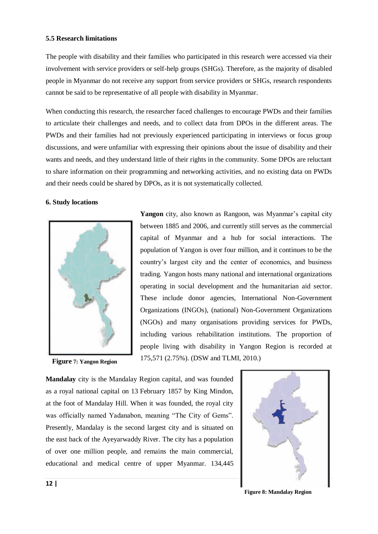## **5.5 Research limitations**

The people with disability and their families who participated in this research were accessed via their involvement with service providers or self-help groups (SHGs). Therefore, as the majority of disabled people in Myanmar do not receive any support from service providers or SHGs, research respondents cannot be said to be representative of all people with disability in Myanmar.

When conducting this research, the researcher faced challenges to encourage PWDs and their families to articulate their challenges and needs, and to collect data from DPOs in the different areas. The PWDs and their families had not previously experienced participating in interviews or focus group discussions, and were unfamiliar with expressing their opinions about the issue of disability and their wants and needs, and they understand little of their rights in the community. Some DPOs are reluctant to share information on their programming and networking activities, and no existing data on PWDs and their needs could be shared by DPOs, as it is not systematically collected.

### **6. Study locations**



**Figure 7: Yangon Region**

Yangon city, also known as Rangoon, was Myanmar's capital city between 1885 and 2006, and currently still serves as the commercial capital of Myanmar and a hub for social interactions. The population of Yangon is over four million, and it continues to be the country"s largest city and the center of economics, and business trading. Yangon hosts many national and international organizations operating in social development and the humanitarian aid sector. These include donor agencies, International Non-Government Organizations (INGOs), (national) Non-Government Organizations (NGOs) and many organisations providing services for PWDs, including various rehabilitation institutions. The proportion of people living with disability in Yangon Region is recorded at 175,571 (2.75%). (DSW and TLMI, 2010.)

**Mandalay** city is the Mandalay Region capital, and was founded as a royal national capital on 13 February 1857 by King Mindon, at the foot of Mandalay Hill. When it was founded, the royal city was officially named Yadanabon, meaning "The City of Gems". Presently, Mandalay is the second largest city and is situated on the east back of the Ayeyarwaddy River. The city has a population of over one million people, and remains the main commercial, educational and medical centre of upper Myanmar. 134,445



**Figure 8: Mandalay Region**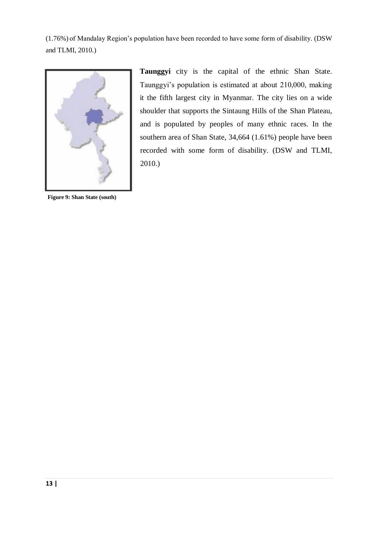(1.76%) of Mandalay Region"s population have been recorded to have some form of disability. (DSW and TLMI, 2010.)



**Figure 9: Shan State (south)**

**Taunggyi** city is the capital of the ethnic Shan State. Taunggyi"s population is estimated at about 210,000, making it the fifth largest city in Myanmar. The city lies on a wide shoulder that supports the Sintaung Hills of the Shan Plateau, and is populated by peoples of many ethnic races. In the southern area of Shan State, 34,664 (1.61%) people have been recorded with some form of disability. (DSW and TLMI, 2010.)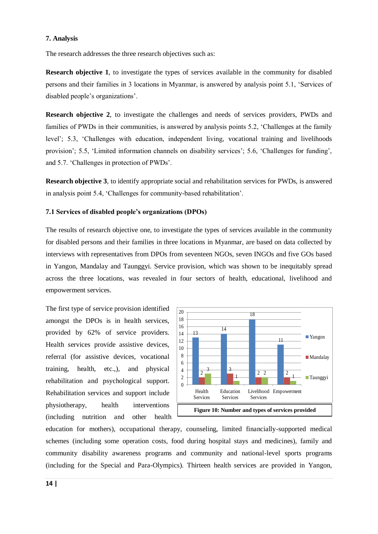## **7. Analysis**

The research addresses the three research objectives such as:

**Research objective 1**, to investigate the types of services available in the community for disabled persons and their families in 3 locations in Myanmar, is answered by analysis point 5.1, "Services of disabled people"s organizations".

**Research objective 2**, to investigate the challenges and needs of services providers, PWDs and families of PWDs in their communities, is answered by analysis points 5.2, "Challenges at the family level"; 5.3, "Challenges with education, independent living, vocational training and livelihoods provision"; 5.5, "Limited information channels on disability services"; 5.6, "Challenges for funding", and 5.7. "Challenges in protection of PWDs".

**Research objective 3**, to identify appropriate social and rehabilitation services for PWDs, is answered in analysis point 5.4, "Challenges for community-based rehabilitation".

## **7.1 Services of disabled people's organizations (DPOs)**

The results of research objective one, to investigate the types of services available in the community for disabled persons and their families in three locations in Myanmar, are based on data collected by interviews with representatives from DPOs from seventeen NGOs, seven INGOs and five GOs based in Yangon, Mandalay and Taunggyi. Service provision, which was shown to be inequitably spread across the three locations, was revealed in four sectors of health, educational, livelihood and empowerment services.

The first type of service provision identified amongst the DPOs is in health services, provided by 62% of service providers. Health services provide assistive devices, referral (for assistive devices, vocational training, health, etc.,), and physical rehabilitation and psychological support. Rehabilitation services and support include physiotherapy, health interventions (including nutrition and other health



education for mothers), occupational therapy, counseling, limited financially-supported medical schemes (including some operation costs, food during hospital stays and medicines), family and community disability awareness programs and community and national-level sports programs (including for the Special and Para-Olympics). Thirteen health services are provided in Yangon,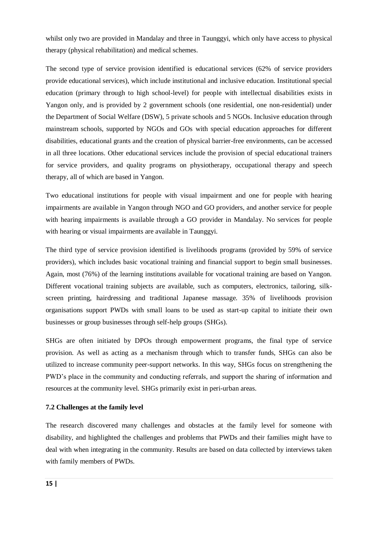whilst only two are provided in Mandalay and three in Taunggyi, which only have access to physical therapy (physical rehabilitation) and medical schemes.

The second type of service provision identified is educational services (62% of service providers provide educational services), which include institutional and inclusive education. Institutional special education (primary through to high school-level) for people with intellectual disabilities exists in Yangon only, and is provided by 2 government schools (one residential, one non-residential) under the Department of Social Welfare (DSW), 5 private schools and 5 NGOs. Inclusive education through mainstream schools, supported by NGOs and GOs with special education approaches for different disabilities, educational grants and the creation of physical barrier-free environments, can be accessed in all three locations. Other educational services include the provision of special educational trainers for service providers, and quality programs on physiotherapy, occupational therapy and speech therapy, all of which are based in Yangon.

Two educational institutions for people with visual impairment and one for people with hearing impairments are available in Yangon through NGO and GO providers, and another service for people with hearing impairments is available through a GO provider in Mandalay. No services for people with hearing or visual impairments are available in Taunggyi.

The third type of service provision identified is livelihoods programs (provided by 59% of service providers), which includes basic vocational training and financial support to begin small businesses. Again, most (76%) of the learning institutions available for vocational training are based on Yangon. Different vocational training subjects are available, such as computers, electronics, tailoring, silkscreen printing, hairdressing and traditional Japanese massage. 35% of livelihoods provision organisations support PWDs with small loans to be used as start-up capital to initiate their own businesses or group businesses through self-help groups (SHGs).

SHGs are often initiated by DPOs through empowerment programs, the final type of service provision. As well as acting as a mechanism through which to transfer funds, SHGs can also be utilized to increase community peer-support networks. In this way, SHGs focus on strengthening the PWD"s place in the community and conducting referrals, and support the sharing of information and resources at the community level. SHGs primarily exist in peri-urban areas.

## **7.2 Challenges at the family level**

The research discovered many challenges and obstacles at the family level for someone with disability, and highlighted the challenges and problems that PWDs and their families might have to deal with when integrating in the community. Results are based on data collected by interviews taken with family members of PWDs.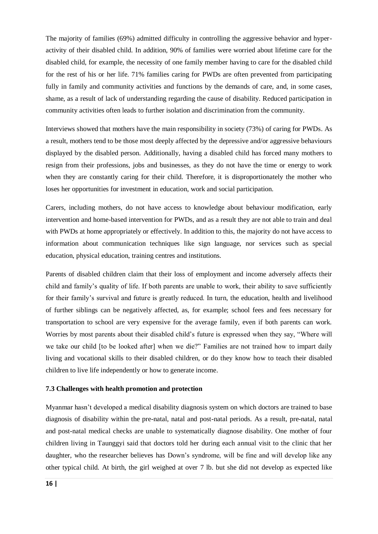The majority of families (69%) admitted difficulty in controlling the aggressive behavior and hyperactivity of their disabled child. In addition, 90% of families were worried about lifetime care for the disabled child, for example, the necessity of one family member having to care for the disabled child for the rest of his or her life. 71% families caring for PWDs are often prevented from participating fully in family and community activities and functions by the demands of care, and, in some cases, shame, as a result of lack of understanding regarding the cause of disability. Reduced participation in community activities often leads to further isolation and discrimination from the community.

Interviews showed that mothers have the main responsibility in society (73%) of caring for PWDs. As a result, mothers tend to be those most deeply affected by the depressive and/or aggressive behaviours displayed by the disabled person. Additionally, having a disabled child has forced many mothers to resign from their professions, jobs and businesses, as they do not have the time or energy to work when they are constantly caring for their child. Therefore, it is disproportionately the mother who loses her opportunities for investment in education, work and social participation.

Carers, including mothers, do not have access to knowledge about behaviour modification, early intervention and home-based intervention for PWDs, and as a result they are not able to train and deal with PWDs at home appropriately or effectively. In addition to this, the majority do not have access to information about communication techniques like sign language, nor services such as special education, physical education, training centres and institutions.

Parents of disabled children claim that their loss of employment and income adversely affects their child and family"s quality of life. If both parents are unable to work, their ability to save sufficiently for their family"s survival and future is greatly reduced. In turn, the education, health and livelihood of further siblings can be negatively affected, as, for example; school fees and fees necessary for transportation to school are very expensive for the average family, even if both parents can work. Worries by most parents about their disabled child"s future is expressed when they say, "Where will we take our child [to be looked after] when we die?" Families are not trained how to impart daily living and vocational skills to their disabled children, or do they know how to teach their disabled children to live life independently or how to generate income.

### **7.3 Challenges with health promotion and protection**

Myanmar hasn"t developed a medical disability diagnosis system on which doctors are trained to base diagnosis of disability within the pre-natal, natal and post-natal periods. As a result, pre-natal, natal and post-natal medical checks are unable to systematically diagnose disability. One mother of four children living in Taunggyi said that doctors told her during each annual visit to the clinic that her daughter, who the researcher believes has Down"s syndrome, will be fine and will develop like any other typical child. At birth, the girl weighed at over 7 lb. but she did not develop as expected like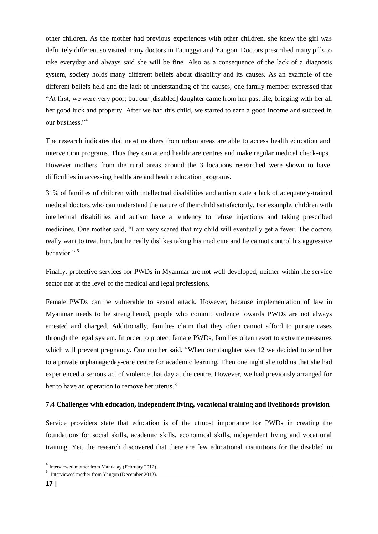other children. As the mother had previous experiences with other children, she knew the girl was definitely different so visited many doctors in Taunggyi and Yangon. Doctors prescribed many pills to take everyday and always said she will be fine. Also as a consequence of the lack of a diagnosis system, society holds many different beliefs about disability and its causes. As an example of the different beliefs held and the lack of understanding of the causes, one family member expressed that "At first, we were very poor; but our [disabled] daughter came from her past life, bringing with her all her good luck and property. After we had this child, we started to earn a good income and succeed in our business."<sup>4</sup>

The research indicates that most mothers from urban areas are able to access health education and intervention programs. Thus they can attend healthcare centres and make regular medical check-ups. However mothers from the rural areas around the 3 locations researched were shown to have difficulties in accessing healthcare and health education programs.

31% of families of children with intellectual disabilities and autism state a lack of adequately-trained medical doctors who can understand the nature of their child satisfactorily. For example, children with intellectual disabilities and autism have a tendency to refuse injections and taking prescribed medicines. One mother said, "I am very scared that my child will eventually get a fever. The doctors really want to treat him, but he really dislikes taking his medicine and he cannot control his aggressive behavior."<sup>5</sup>

Finally, protective services for PWDs in Myanmar are not well developed, neither within the service sector nor at the level of the medical and legal professions.

Female PWDs can be vulnerable to sexual attack. However, because implementation of law in Myanmar needs to be strengthened, people who commit violence towards PWDs are not always arrested and charged. Additionally, families claim that they often cannot afford to pursue cases through the legal system. In order to protect female PWDs, families often resort to extreme measures which will prevent pregnancy. One mother said, "When our daughter was 12 we decided to send her to a private orphanage/day-care centre for academic learning. Then one night she told us that she had experienced a serious act of violence that day at the centre. However, we had previously arranged for her to have an operation to remove her uterus."

## **7.4 Challenges with education, independent living, vocational training and livelihoods provision**

Service providers state that education is of the utmost importance for PWDs in creating the foundations for social skills, academic skills, economical skills, independent living and vocational training. Yet, the research discovered that there are few educational institutions for the disabled in

**.** 

<sup>4</sup> Interviewed mother from Mandalay (February 2012).

<sup>5</sup> Interviewed mother from Yangon (December 2012).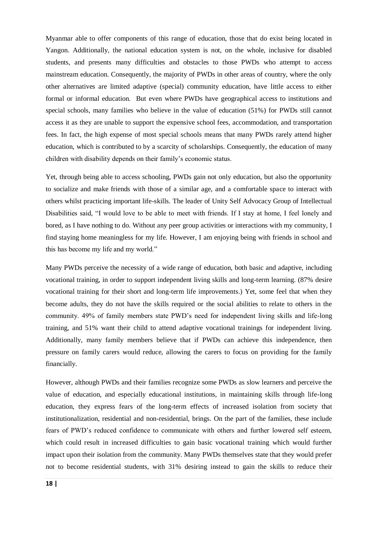Myanmar able to offer components of this range of education, those that do exist being located in Yangon. Additionally, the national education system is not, on the whole, inclusive for disabled students, and presents many difficulties and obstacles to those PWDs who attempt to access mainstream education. Consequently, the majority of PWDs in other areas of country, where the only other alternatives are limited adaptive (special) community education, have little access to either formal or informal education. But even where PWDs have geographical access to institutions and special schools, many families who believe in the value of education (51%) for PWDs still cannot access it as they are unable to support the expensive school fees, accommodation, and transportation fees. In fact, the high expense of most special schools means that many PWDs rarely attend higher education, which is contributed to by a scarcity of scholarships. Consequently, the education of many children with disability depends on their family"s economic status.

Yet, through being able to access schooling, PWDs gain not only education, but also the opportunity to socialize and make friends with those of a similar age, and a comfortable space to interact with others whilst practicing important life-skills. The leader of Unity Self Advocacy Group of Intellectual Disabilities said, "I would love to be able to meet with friends. If I stay at home, I feel lonely and bored, as I have nothing to do. Without any peer group activities or interactions with my community, I find staying home meaningless for my life. However, I am enjoying being with friends in school and this has become my life and my world."

Many PWDs perceive the necessity of a wide range of education, both basic and adaptive, including vocational training, in order to support independent living skills and long-term learning. (87% desire vocational training for their short and long-term life improvements.) Yet, some feel that when they become adults, they do not have the skills required or the social abilities to relate to others in the community. 49% of family members state PWD"s need for independent living skills and life-long training, and 51% want their child to attend adaptive vocational trainings for independent living. Additionally, many family members believe that if PWDs can achieve this independence, then pressure on family carers would reduce, allowing the carers to focus on providing for the family financially.

However, although PWDs and their families recognize some PWDs as slow learners and perceive the value of education, and especially educational institutions, in maintaining skills through life-long education, they express fears of the long-term effects of increased isolation from society that institutionalization, residential and non-residential, brings. On the part of the families, these include fears of PWD"s reduced confidence to communicate with others and further lowered self esteem, which could result in increased difficulties to gain basic vocational training which would further impact upon their isolation from the community. Many PWDs themselves state that they would prefer not to become residential students, with 31% desiring instead to gain the skills to reduce their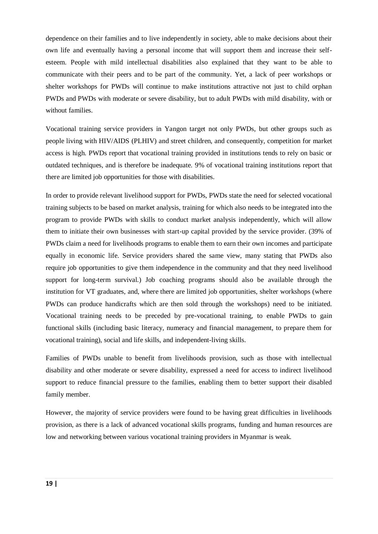dependence on their families and to live independently in society, able to make decisions about their own life and eventually having a personal income that will support them and increase their selfesteem. People with mild intellectual disabilities also explained that they want to be able to communicate with their peers and to be part of the community. Yet, a lack of peer workshops or shelter workshops for PWDs will continue to make institutions attractive not just to child orphan PWDs and PWDs with moderate or severe disability, but to adult PWDs with mild disability, with or without families.

Vocational training service providers in Yangon target not only PWDs, but other groups such as people living with HIV/AIDS (PLHIV) and street children, and consequently, competition for market access is high. PWDs report that vocational training provided in institutions tends to rely on basic or outdated techniques, and is therefore be inadequate. 9% of vocational training institutions report that there are limited job opportunities for those with disabilities.

In order to provide relevant livelihood support for PWDs, PWDs state the need for selected vocational training subjects to be based on market analysis, training for which also needs to be integrated into the program to provide PWDs with skills to conduct market analysis independently, which will allow them to initiate their own businesses with start-up capital provided by the service provider. (39% of PWDs claim a need for livelihoods programs to enable them to earn their own incomes and participate equally in economic life. Service providers shared the same view, many stating that PWDs also require job opportunities to give them independence in the community and that they need livelihood support for long-term survival.) Job coaching programs should also be available through the institution for VT graduates, and, where there are limited job opportunities, shelter workshops (where PWDs can produce handicrafts which are then sold through the workshops) need to be initiated. Vocational training needs to be preceded by pre-vocational training, to enable PWDs to gain functional skills (including basic literacy, numeracy and financial management, to prepare them for vocational training), social and life skills, and independent-living skills.

Families of PWDs unable to benefit from livelihoods provision, such as those with intellectual disability and other moderate or severe disability, expressed a need for access to indirect livelihood support to reduce financial pressure to the families, enabling them to better support their disabled family member.

However, the majority of service providers were found to be having great difficulties in livelihoods provision, as there is a lack of advanced vocational skills programs, funding and human resources are low and networking between various vocational training providers in Myanmar is weak.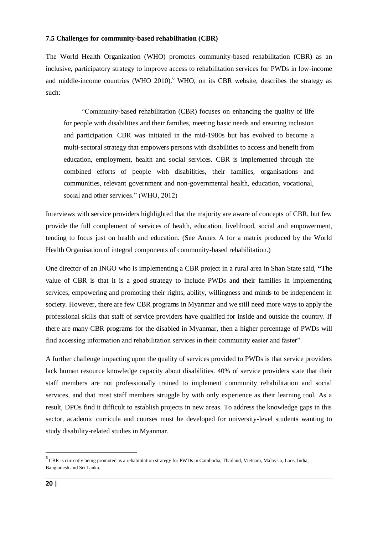## **7.5 Challenges for community-based rehabilitation (CBR)**

The World Health Organization (WHO) promotes community-based rehabilitation (CBR) as an inclusive, participatory strategy to improve access to rehabilitation services for PWDs in low-income and middle-income countries (WHO  $2010$ ).<sup>6</sup> WHO, on its CBR website, describes the strategy as such:

"Community-based rehabilitation (CBR) focuses on enhancing the quality of life for people with disabilities and their families, meeting basic needs and ensuring inclusion and participation. CBR was initiated in the mid-1980s but has evolved to become a multi-sectoral strategy that empowers persons with disabilities to access and benefit from education, employment, health and social services. CBR is implemented through the combined efforts of people with disabilities, their families, organisations and communities, relevant government and non-governmental health, education, vocational, social and other services." (WHO, 2012)

Interviews with **s**ervice providers highlighted that the majority are aware of concepts of CBR, but few provide the full complement of services of health, education, livelihood, social and empowerment, tending to focus just on health and education. (See Annex A for a matrix produced by the World Health Organisation of integral components of community-based rehabilitation.)

One director of an INGO who is implementing a CBR project in a rural area in Shan State said, **"**The value of CBR is that it is a good strategy to include PWDs and their families in implementing services, empowering and promoting their rights, ability, willingness and minds to be independent in society. However, there are few CBR programs in Myanmar and we still need more ways to apply the professional skills that staff of service providers have qualified for inside and outside the country. If there are many CBR programs for the disabled in Myanmar, then a higher percentage of PWDs will find accessing information and rehabilitation services in their community easier and faster".

A further challenge impacting upon the quality of services provided to PWDs is that service providers lack human resource knowledge capacity about disabilities. 40% of service providers state that their staff members are not professionally trained to implement community rehabilitation and social services, and that most staff members struggle by with only experience as their learning tool. As a result, DPOs find it difficult to establish projects in new areas. To address the knowledge gaps in this sector, academic curricula and courses must be developed for university-level students wanting to study disability-related studies in Myanmar.

 6 CBR is currently being promoted as a rehabilitation strategy for PWDs in Cambodia, Thailand, Vietnam, Malaysia, Laos, India, Bangladesh and Sri Lanka.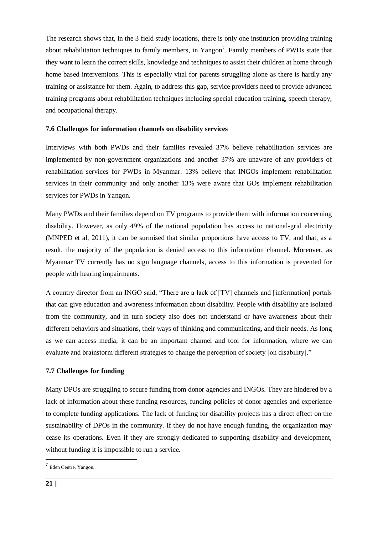The research shows that, in the 3 field study locations, there is only one institution providing training about rehabilitation techniques to family members, in Yangon<sup>7</sup>. Family members of PWDs state that they want to learn the correct skills, knowledge and techniques to assist their children at home through home based interventions. This is especially vital for parents struggling alone as there is hardly any training or assistance for them. Again, to address this gap, service providers need to provide advanced training programs about rehabilitation techniques including special education training, speech therapy, and occupational therapy.

## **7.6 Challenges for information channels on disability services**

Interviews with both PWDs and their families revealed 37% believe rehabilitation services are implemented by non-government organizations and another 37% are unaware of any providers of rehabilitation services for PWDs in Myanmar. 13% believe that INGOs implement rehabilitation services in their community and only another 13% were aware that GOs implement rehabilitation services for PWDs in Yangon.

Many PWDs and their families depend on TV programs to provide them with information concerning disability. However, as only 49% of the national population has access to national-grid electricity (MNPED et al, 2011), it can be surmised that similar proportions have access to TV, and that, as a result, the majority of the population is denied access to this information channel. Moreover, as Myanmar TV currently has no sign language channels, access to this information is prevented for people with hearing impairments.

A country director from an INGO said, "There are a lack of [TV] channels and [information] portals that can give education and awareness information about disability. People with disability are isolated from the community, and in turn society also does not understand or have awareness about their different behaviors and situations, their ways of thinking and communicating, and their needs. As long as we can access media, it can be an important channel and tool for information, where we can evaluate and brainstorm different strategies to change the perception of society [on disability]."

## **7.7 Challenges for funding**

Many DPOs are struggling to secure funding from donor agencies and INGOs. They are hindered by a lack of information about these funding resources, funding policies of donor agencies and experience to complete funding applications. The lack of funding for disability projects has a direct effect on the sustainability of DPOs in the community. If they do not have enough funding, the organization may cease its operations. Even if they are strongly dedicated to supporting disability and development, without funding it is impossible to run a service.

**.** 

<sup>7</sup> Eden Centre, Yangon.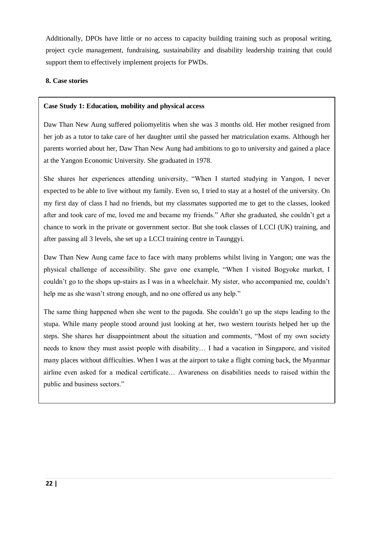Additionally, DPOs have little or no access to capacity building training such as proposal writing, project cycle management, fundraising, sustainability and disability leadership training that could support them to effectively implement projects for PWDs.

# **8. Case stories**

## **Case Study 1: Education, mobility and physical access**

Daw Than New Aung suffered poliomyelitis when she was 3 months old. Her mother resigned from her job as a tutor to take care of her daughter until she passed her matriculation exams. Although her parents worried about her, Daw Than New Aung had ambitions to go to university and gained a place at the Yangon Economic University. She graduated in 1978.

She shares her experiences attending university, "When I started studying in Yangon, I never expected to be able to live without my family. Even so, I tried to stay at a hostel of the university. On my first day of class I had no friends, but my classmates supported me to get to the classes, looked after and took care of me, loved me and became my friends." After she graduated, she couldn"t get a chance to work in the private or government sector. But she took classes of LCCI (UK) training, and after passing all 3 levels, she set up a LCCI training centre in Taunggyi.

Daw Than New Aung came face to face with many problems whilst living in Yangon; one was the physical challenge of accessibility. She gave one example, "When I visited Bogyoke market, I couldn"t go to the shops up-stairs as I was in a wheelchair. My sister, who accompanied me, couldn"t help me as she wasn't strong enough, and no one offered us any help."

The same thing happened when she went to the pagoda. She couldn"t go up the steps leading to the stupa. While many people stood around just looking at her, two western tourists helped her up the steps. She shares her disappointment about the situation and comments, "Most of my own society needs to know they must assist people with disability… I had a vacation in Singapore, and visited many places without difficulties. When I was at the airport to take a flight coming back, the Myanmar airline even asked for a medical certificate… Awareness on disabilities needs to raised within the public and business sectors."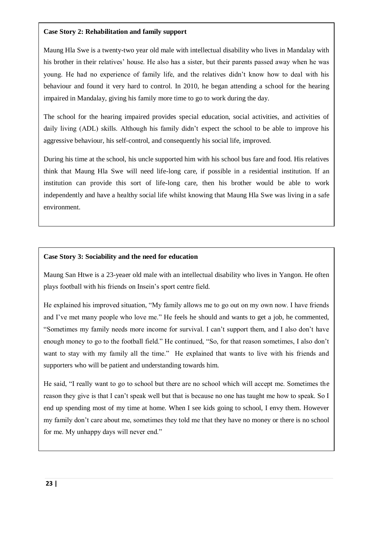# **Case Story 2: Rehabilitation and family support**

Maung Hla Swe is a twenty-two year old male with intellectual disability who lives in Mandalay with his brother in their relatives" house. He also has a sister, but their parents passed away when he was young. He had no experience of family life, and the relatives didn"t know how to deal with his behaviour and found it very hard to control. In 2010, he began attending a school for the hearing impaired in Mandalay, giving his family more time to go to work during the day.

The school for the hearing impaired provides special education, social activities, and activities of daily living (ADL) skills. Although his family didn"t expect the school to be able to improve his aggressive behaviour, his self-control, and consequently his social life, improved.

During his time at the school, his uncle supported him with his school bus fare and food. His relatives think that Maung Hla Swe will need life-long care, if possible in a residential institution. If an institution can provide this sort of life-long care, then his brother would be able to work independently and have a healthy social life whilst knowing that Maung Hla Swe was living in a safe environment.

# **Case Story 3: Sociability and the need for education**

Maung San Htwe is a 23-yeaer old male with an intellectual disability who lives in Yangon. He often plays football with his friends on Insein"s sport centre field.

He explained his improved situation, "My family allows me to go out on my own now. I have friends and I've met many people who love me." He feels he should and wants to get a job, he commented, "Sometimes my family needs more income for survival. I can"t support them, and I also don"t have enough money to go to the football field." He continued, "So, for that reason sometimes, I also don"t want to stay with my family all the time." He explained that wants to live with his friends and supporters who will be patient and understanding towards him.

He said, "I really want to go to school but there are no school which will accept me. Sometimes the reason they give is that I can"t speak well but that is because no one has taught me how to speak. So I end up spending most of my time at home. When I see kids going to school, I envy them. However my family don"t care about me, sometimes they told me that they have no money or there is no school for me. My unhappy days will never end."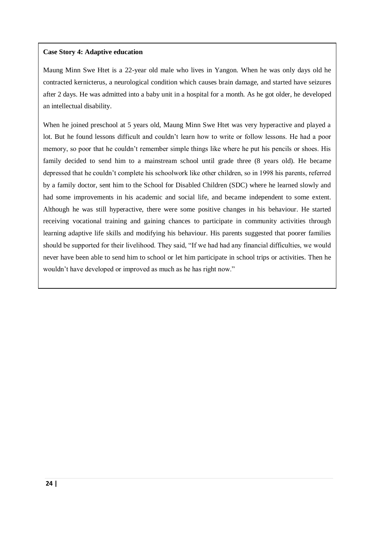# **Case Story 4: Adaptive education**

Maung Minn Swe Htet is a 22-year old male who lives in Yangon. When he was only days old he contracted kernicterus, a neurological condition which causes brain damage, and started have seizures after 2 days. He was admitted into a baby unit in a hospital for a month. As he got older, he developed an intellectual disability.

When he joined preschool at 5 years old, Maung Minn Swe Htet was very hyperactive and played a lot. But he found lessons difficult and couldn"t learn how to write or follow lessons. He had a poor memory, so poor that he couldn"t remember simple things like where he put his pencils or shoes. His family decided to send him to a mainstream school until grade three (8 years old). He became depressed that he couldn"t complete his schoolwork like other children, so in 1998 his parents, referred by a family doctor, sent him to the School for Disabled Children (SDC) where he learned slowly and had some improvements in his academic and social life, and became independent to some extent. Although he was still hyperactive, there were some positive changes in his behaviour. He started receiving vocational training and gaining chances to participate in community activities through learning adaptive life skills and modifying his behaviour. His parents suggested that poorer families should be supported for their livelihood. They said, "If we had had any financial difficulties, we would never have been able to send him to school or let him participate in school trips or activities. Then he wouldn"t have developed or improved as much as he has right now."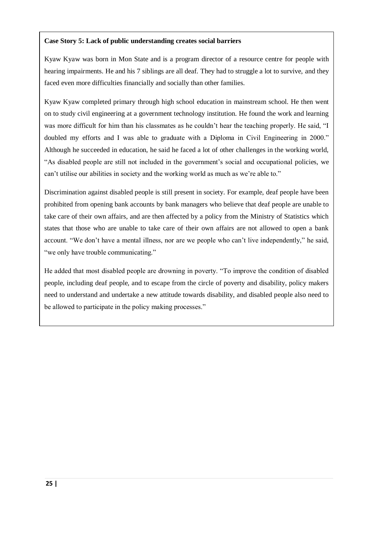# **Case Story 5: Lack of public understanding creates social barriers**

Kyaw Kyaw was born in Mon State and is a program director of a resource centre for people with hearing impairments. He and his 7 siblings are all deaf. They had to struggle a lot to survive, and they faced even more difficulties financially and socially than other families.

Kyaw Kyaw completed primary through high school education in mainstream school. He then went on to study civil engineering at a government technology institution. He found the work and learning was more difficult for him than his classmates as he couldn"t hear the teaching properly. He said, "I doubled my efforts and I was able to graduate with a Diploma in Civil Engineering in 2000." Although he succeeded in education, he said he faced a lot of other challenges in the working world, "As disabled people are still not included in the government"s social and occupational policies, we can"t utilise our abilities in society and the working world as much as we"re able to."

Discrimination against disabled people is still present in society. For example, deaf people have been prohibited from opening bank accounts by bank managers who believe that deaf people are unable to take care of their own affairs, and are then affected by a policy from the Ministry of Statistics which states that those who are unable to take care of their own affairs are not allowed to open a bank account. "We don"t have a mental illness, nor are we people who can"t live independently," he said, "we only have trouble communicating."

He added that most disabled people are drowning in poverty. "To improve the condition of disabled people, including deaf people, and to escape from the circle of poverty and disability, policy makers need to understand and undertake a new attitude towards disability, and disabled people also need to be allowed to participate in the policy making processes."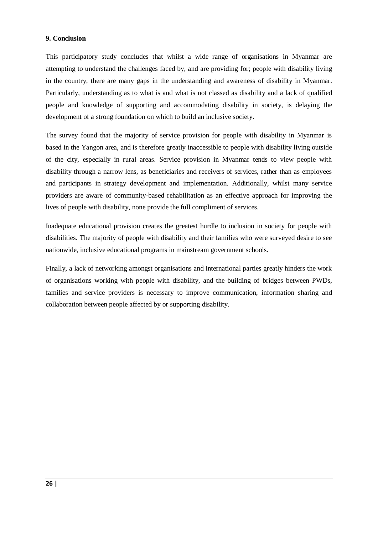## **9. Conclusion**

This participatory study concludes that whilst a wide range of organisations in Myanmar are attempting to understand the challenges faced by, and are providing for; people with disability living in the country, there are many gaps in the understanding and awareness of disability in Myanmar. Particularly, understanding as to what is and what is not classed as disability and a lack of qualified people and knowledge of supporting and accommodating disability in society, is delaying the development of a strong foundation on which to build an inclusive society.

The survey found that the majority of service provision for people with disability in Myanmar is based in the Yangon area, and is therefore greatly inaccessible to people with disability living outside of the city, especially in rural areas. Service provision in Myanmar tends to view people with disability through a narrow lens, as beneficiaries and receivers of services, rather than as employees and participants in strategy development and implementation. Additionally, whilst many service providers are aware of community-based rehabilitation as an effective approach for improving the lives of people with disability, none provide the full compliment of services.

Inadequate educational provision creates the greatest hurdle to inclusion in society for people with disabilities. The majority of people with disability and their families who were surveyed desire to see nationwide, inclusive educational programs in mainstream government schools.

Finally, a lack of networking amongst organisations and international parties greatly hinders the work of organisations working with people with disability, and the building of bridges between PWDs, families and service providers is necessary to improve communication, information sharing and collaboration between people affected by or supporting disability.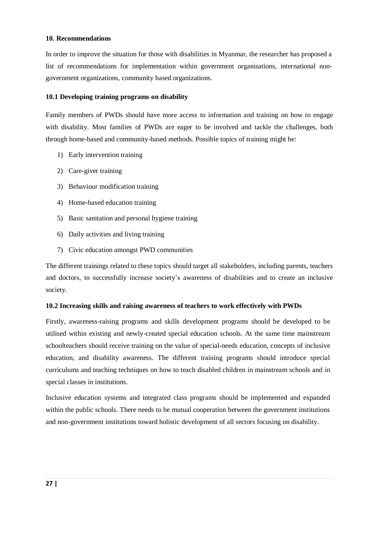## **10. Recommendations**

In order to improve the situation for those with disabilities in Myanmar, the researcher has proposed a list of recommendations for implementation within government organisations, international nongovernment organizations, community based organizations.

## **10.1 Developing training programs on disability**

Family members of PWDs should have more access to information and training on how to engage with disability. Most families of PWDs are eager to be involved and tackle the challenges, both through home-based and community-based methods. Possible topics of training might be:

- 1) Early intervention training
- 2) Care-giver training
- 3) Behaviour modification training
- 4) Home-based education training
- 5) Basic sanitation and personal hygiene training
- 6) Daily activities and living training
- 7) Civic education amongst PWD communities

The different trainings related to these topics should target all stakeholders, including parents, teachers and doctors, to successfully increase society"s awareness of disabilities and to create an inclusive society.

#### **10.2 Increasing skills and raising awareness of teachers to work effectively with PWDs**

Firstly, awareness-raising programs and skills development programs should be developed to be utilised within existing and newly-created special education schools. At the same time mainstream schoolteachers should receive training on the value of special-needs education, concepts of inclusive education, and disability awareness. The different training programs should introduce special curriculums and teaching techniques on how to teach disabled children in mainstream schools and in special classes in institutions.

Inclusive education systems and integrated class programs should be implemented and expanded within the public schools. There needs to be mutual cooperation between the government institutions and non-government institutions toward holistic development of all sectors focusing on disability.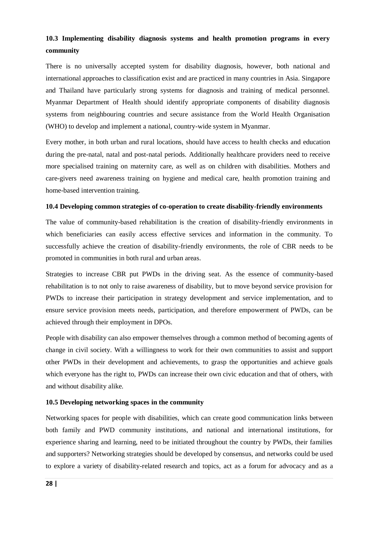# **10.3 Implementing disability diagnosis systems and health promotion programs in every community**

There is no universally accepted system for disability diagnosis, however, both national and international approaches to classification exist and are practiced in many countries in Asia. Singapore and Thailand have particularly strong systems for diagnosis and training of medical personnel. Myanmar Department of Health should identify appropriate components of disability diagnosis systems from neighbouring countries and secure assistance from the World Health Organisation (WHO) to develop and implement a national, country-wide system in Myanmar.

Every mother, in both urban and rural locations, should have access to health checks and education during the pre-natal, natal and post-natal periods. Additionally healthcare providers need to receive more specialised training on maternity care, as well as on children with disabilities. Mothers and care-givers need awareness training on hygiene and medical care, health promotion training and home-based intervention training.

### **10.4 Developing common strategies of co-operation to create disability-friendly environments**

The value of community-based rehabilitation is the creation of disability-friendly environments in which beneficiaries can easily access effective services and information in the community. To successfully achieve the creation of disability-friendly environments, the role of CBR needs to be promoted in communities in both rural and urban areas.

Strategies to increase CBR put PWDs in the driving seat. As the essence of community-based rehabilitation is to not only to raise awareness of disability, but to move beyond service provision for PWDs to increase their participation in strategy development and service implementation, and to ensure service provision meets needs, participation, and therefore empowerment of PWDs, can be achieved through their employment in DPOs.

People with disability can also empower themselves through a common method of becoming agents of change in civil society. With a willingness to work for their own communities to assist and support other PWDs in their development and achievements, to grasp the opportunities and achieve goals which everyone has the right to, PWDs can increase their own civic education and that of others, with and without disability alike.

## **10.5 Developing networking spaces in the community**

Networking spaces for people with disabilities, which can create good communication links between both family and PWD community institutions, and national and international institutions, for experience sharing and learning, need to be initiated throughout the country by PWDs, their families and supporters? Networking strategies should be developed by consensus, and networks could be used to explore a variety of disability-related research and topics, act as a forum for advocacy and as a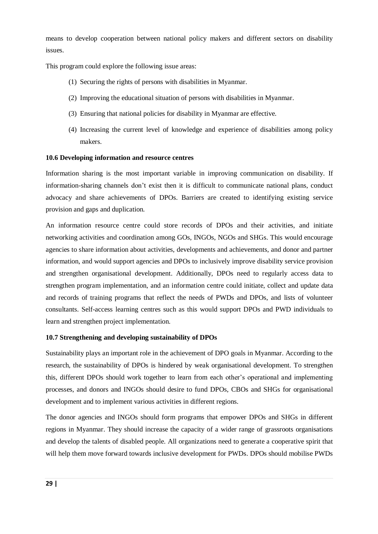means to develop cooperation between national policy makers and different sectors on disability issues.

This program could explore the following issue areas:

- (1) Securing the rights of persons with disabilities in Myanmar.
- (2) Improving the educational situation of persons with disabilities in Myanmar.
- (3) Ensuring that national policies for disability in Myanmar are effective.
- (4) Increasing the current level of knowledge and experience of disabilities among policy makers.

## **10.6 Developing information and resource centres**

Information sharing is the most important variable in improving communication on disability. If information-sharing channels don"t exist then it is difficult to communicate national plans, conduct advocacy and share achievements of DPOs. Barriers are created to identifying existing service provision and gaps and duplication.

An information resource centre could store records of DPOs and their activities, and initiate networking activities and coordination among GOs, INGOs, NGOs and SHGs. This would encourage agencies to share information about activities, developments and achievements, and donor and partner information, and would support agencies and DPOs to inclusively improve disability service provision and strengthen organisational development. Additionally, DPOs need to regularly access data to strengthen program implementation, and an information centre could initiate, collect and update data and records of training programs that reflect the needs of PWDs and DPOs, and lists of volunteer consultants. Self-access learning centres such as this would support DPOs and PWD individuals to learn and strengthen project implementation.

## **10.7 Strengthening and developing sustainability of DPOs**

Sustainability plays an important role in the achievement of DPO goals in Myanmar. According to the research, the sustainability of DPOs is hindered by weak organisational development. To strengthen this, different DPOs should work together to learn from each other"s operational and implementing processes, and donors and INGOs should desire to fund DPOs, CBOs and SHGs for organisational development and to implement various activities in different regions.

The donor agencies and INGOs should form programs that empower DPOs and SHGs in different regions in Myanmar. They should increase the capacity of a wider range of grassroots organisations and develop the talents of disabled people. All organizations need to generate a cooperative spirit that will help them move forward towards inclusive development for PWDs. DPOs should mobilise PWDs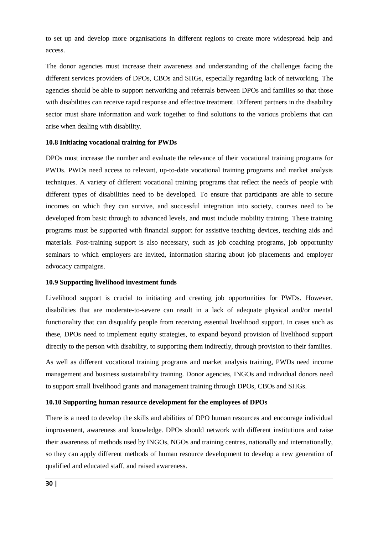to set up and develop more organisations in different regions to create more widespread help and access.

The donor agencies must increase their awareness and understanding of the challenges facing the different services providers of DPOs, CBOs and SHGs, especially regarding lack of networking. The agencies should be able to support networking and referrals between DPOs and families so that those with disabilities can receive rapid response and effective treatment. Different partners in the disability sector must share information and work together to find solutions to the various problems that can arise when dealing with disability.

#### **10.8 Initiating vocational training for PWDs**

DPOs must increase the number and evaluate the relevance of their vocational training programs for PWDs. PWDs need access to relevant, up-to-date vocational training programs and market analysis techniques. A variety of different vocational training programs that reflect the needs of people with different types of disabilities need to be developed. To ensure that participants are able to secure incomes on which they can survive, and successful integration into society, courses need to be developed from basic through to advanced levels, and must include mobility training. These training programs must be supported with financial support for assistive teaching devices, teaching aids and materials. Post-training support is also necessary, such as job coaching programs, job opportunity seminars to which employers are invited, information sharing about job placements and employer advocacy campaigns.

#### **10.9 Supporting livelihood investment funds**

Livelihood support is crucial to initiating and creating job opportunities for PWDs. However, disabilities that are moderate-to-severe can result in a lack of adequate physical and/or mental functionality that can disqualify people from receiving essential livelihood support. In cases such as these, DPOs need to implement equity strategies, to expand beyond provision of livelihood support directly to the person with disability, to supporting them indirectly, through provision to their families.

As well as different vocational training programs and market analysis training, PWDs need income management and business sustainability training. Donor agencies, INGOs and individual donors need to support small livelihood grants and management training through DPOs, CBOs and SHGs.

#### **10.10 Supporting human resource development for the employees of DPOs**

There is a need to develop the skills and abilities of DPO human resources and encourage individual improvement, awareness and knowledge. DPOs should network with different institutions and raise their awareness of methods used by INGOs, NGOs and training centres, nationally and internationally, so they can apply different methods of human resource development to develop a new generation of qualified and educated staff, and raised awareness.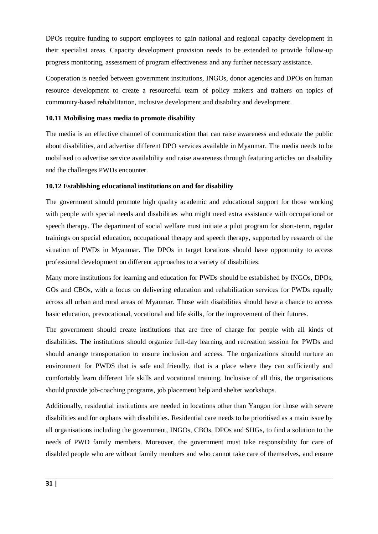DPOs require funding to support employees to gain national and regional capacity development in their specialist areas. Capacity development provision needs to be extended to provide follow-up progress monitoring, assessment of program effectiveness and any further necessary assistance.

Cooperation is needed between government institutions, INGOs, donor agencies and DPOs on human resource development to create a resourceful team of policy makers and trainers on topics of community-based rehabilitation, inclusive development and disability and development.

## **10.11 Mobilising mass media to promote disability**

The media is an effective channel of communication that can raise awareness and educate the public about disabilities, and advertise different DPO services available in Myanmar. The media needs to be mobilised to advertise service availability and raise awareness through featuring articles on disability and the challenges PWDs encounter.

## **10.12 Establishing educational institutions on and for disability**

The government should promote high quality academic and educational support for those working with people with special needs and disabilities who might need extra assistance with occupational or speech therapy. The department of social welfare must initiate a pilot program for short-term, regular trainings on special education, occupational therapy and speech therapy, supported by research of the situation of PWDs in Myanmar. The DPOs in target locations should have opportunity to access professional development on different approaches to a variety of disabilities.

Many more institutions for learning and education for PWDs should be established by INGOs, DPOs, GOs and CBOs, with a focus on delivering education and rehabilitation services for PWDs equally across all urban and rural areas of Myanmar. Those with disabilities should have a chance to access basic education, prevocational, vocational and life skills, for the improvement of their futures.

The government should create institutions that are free of charge for people with all kinds of disabilities. The institutions should organize full-day learning and recreation session for PWDs and should arrange transportation to ensure inclusion and access. The organizations should nurture an environment for PWDS that is safe and friendly, that is a place where they can sufficiently and comfortably learn different life skills and vocational training. Inclusive of all this, the organisations should provide job-coaching programs, job placement help and shelter workshops.

Additionally, residential institutions are needed in locations other than Yangon for those with severe disabilities and for orphans with disabilities. Residential care needs to be prioritised as a main issue by all organisations including the government, INGOs, CBOs, DPOs and SHGs, to find a solution to the needs of PWD family members. Moreover, the government must take responsibility for care of disabled people who are without family members and who cannot take care of themselves, and ensure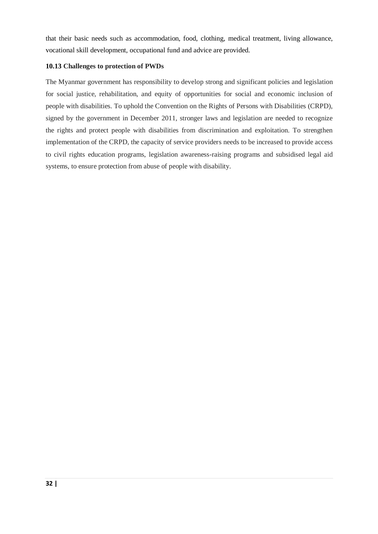that their basic needs such as accommodation, food, clothing, medical treatment, living allowance, vocational skill development, occupational fund and advice are provided.

# **10.13 Challenges to protection of PWDs**

The Myanmar government has responsibility to develop strong and significant policies and legislation for social justice, rehabilitation, and equity of opportunities for social and economic inclusion of people with disabilities. To uphold the Convention on the Rights of Persons with Disabilities (CRPD), signed by the government in December 2011, stronger laws and legislation are needed to recognize the rights and protect people with disabilities from discrimination and exploitation. To strengthen implementation of the CRPD, the capacity of service providers needs to be increased to provide access to civil rights education programs, legislation awareness-raising programs and subsidised legal aid systems, to ensure protection from abuse of people with disability.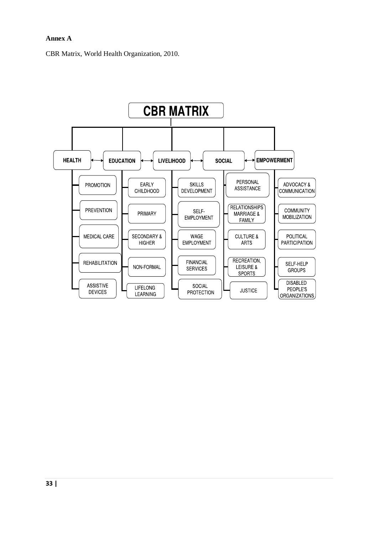# **Annex A**

CBR Matrix, World Health Organization, 2010.

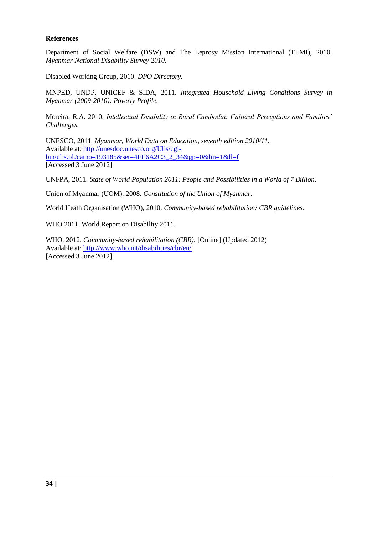## **References**

Department of Social Welfare (DSW) and The Leprosy Mission International (TLMI), 2010. *Myanmar National Disability Survey 2010.*

Disabled Working Group, 2010. *DPO Directory.*

MNPED, UNDP, UNICEF & SIDA, 2011. *Integrated Household Living Conditions Survey in Myanmar (2009-2010): Poverty Profile.*

Moreira, R.A. 2010. *Intellectual Disability in Rural Cambodia: Cultural Perceptions and Families' Challenges.*

UNESCO, 2011. *Myanmar, World Data on Education, seventh edition 2010/11.* Available at: [http://unesdoc.unesco.org/Ulis/cgi](http://unesdoc.unesco.org/Ulis/cgi-bin/ulis.pl?catno=193185&set=4FE6A2C3_2_34&gp=0&lin=1&ll=f)[bin/ulis.pl?catno=193185&set=4FE6A2C3\\_2\\_34&gp=0&lin=1&ll=f](http://unesdoc.unesco.org/Ulis/cgi-bin/ulis.pl?catno=193185&set=4FE6A2C3_2_34&gp=0&lin=1&ll=f) [Accessed 3 June 2012]

UNFPA, 2011. *State of World Population 2011: People and Possibilities in a World of 7 Billion.*

Union of Myanmar (UOM), 2008. *Constitution of the Union of Myanmar.*

World Heath Organisation (WHO), 2010. *Community-based rehabilitation: CBR guidelines.*

WHO 2011. World Report on Disability 2011.

WHO, 2012. *Community-based rehabilitation (CBR).* [Online] (Updated 2012) Available at:<http://www.who.int/disabilities/cbr/en/> [Accessed 3 June 2012]